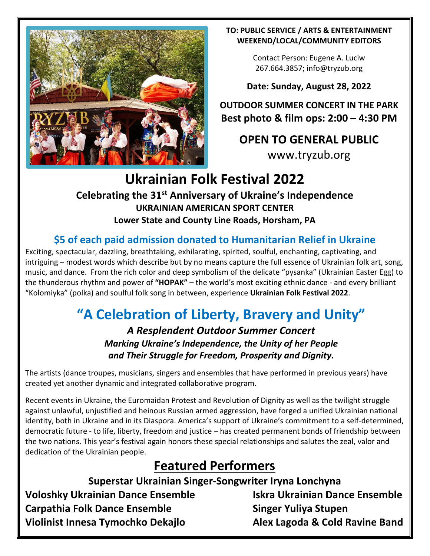

#### **TO: PUBLIC SERVICE / ARTS & ENTERTAINMENT WEEKEND/LOCAL/COMMUNITY EDITORS**

Contact Person: Eugene A. Luciw 267.664.3857[; info@tryzub.org](mailto:info@tryzub.org)

**Date: Sunday, August 28, 2022**

**OUTDOOR SUMMER CONCERT IN THE PARK Best photo & film ops: 2:00 – 4:30 PM**

**OPEN TO GENERAL PUBLIC**

[www.tryzub.org](http://www.tryzub.org/)

# **Ukrainian Folk Festival 2022**

### **Celebrating the 31st Anniversary of Ukraine's Independence UKRAINIAN AMERICAN SPORT CENTER Lower State and County Line Roads, Horsham, PA**

### **\$5 of each paid admission donated to Humanitarian Relief in Ukraine**

Exciting, spectacular, dazzling, breathtaking, exhilarating, spirited, soulful, enchanting, captivating, and intriguing – modest words which describe but by no means capture the full essence of Ukrainian folk art, song, music, and dance. From the rich color and deep symbolism of the delicate "pysanka" (Ukrainian Easter Egg) to the thunderous rhythm and power of **"HOPAK"** – the world's most exciting ethnic dance - and every brilliant "Kolomiyka" (polka) and soulful folk song in between, experience **Ukrainian Folk Festival 2022**.

# **"A Celebration of Liberty, Bravery and Unity"**

*A Resplendent Outdoor Summer Concert Marking Ukraine's Independence, the Unity of her People and Their Struggle for Freedom, Prosperity and Dignity.*

The artists (dance troupes, musicians, singers and ensembles that have performed in previous years) have created yet another dynamic and integrated collaborative program.

Recent events in Ukraine, the Euromaidan Protest and Revolution of Dignity as well as the twilight struggle against unlawful, unjustified and heinous Russian armed aggression, have forged a unified Ukrainian national identity, both in Ukraine and in its Diaspora. America's support of Ukraine's commitment to a self-determined, democratic future - to life, liberty, freedom and justice – has created permanent bonds of friendship between the two nations. This year's festival again honors these special relationships and salutes the zeal, valor and dedication of the Ukrainian people.

### **Featured Performers**

**Superstar Ukrainian Singer-Songwriter Iryna Lonchyna**

**Voloshky Ukrainian Dance Ensemble Iskra Ukrainian Dance Ensemble Carpathia Folk Dance Ensemble Singer Yuliya Stupen Violinist Innesa Tymochko Dekajlo Alex Lagoda & Cold Ravine Band**